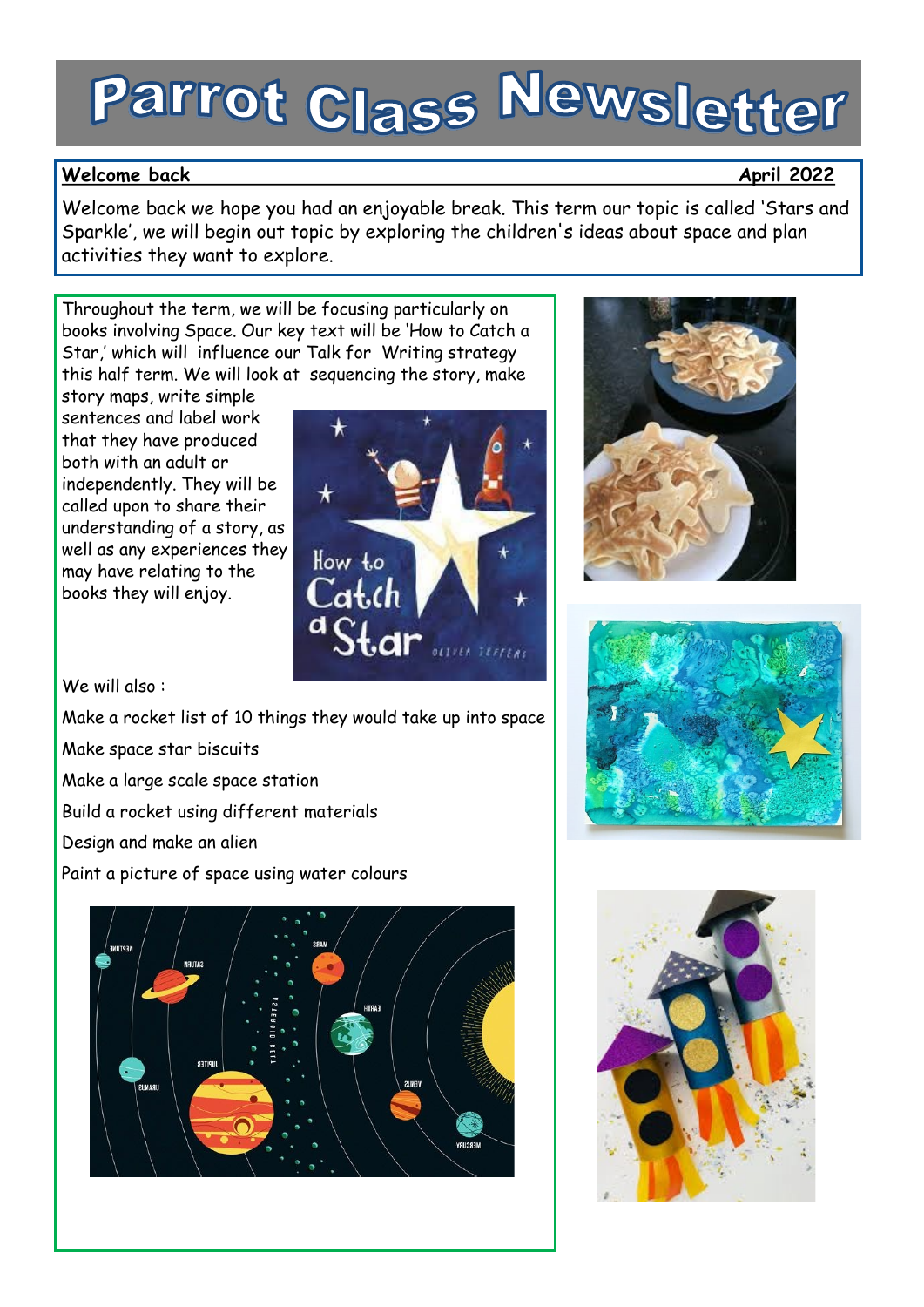# Parrot Class Newsletter

# Welcome back and the second second second second second second second second second second second second second second second second second second second second second second second second second second second second secon

Welcome back we hope you had an enjoyable break. This term our topic is called 'Stars and Sparkle', we will begin out topic by exploring the children's ideas about space and plan activities they want to explore.

Throughout the term, we will be focusing particularly on books involving Space. Our key text will be 'How to Catch a Star,' which will influence our Talk for Writing strategy this half term. We will look at sequencing the story, make

story maps, write simple sentences and label work that they have produced both with an adult or independently. They will be called upon to share their understanding of a story, as well as any experiences they may have relating to the books they will enjoy.



We will also :

Make a rocket list of 10 things they would take up into space

Make space star biscuits

Make a large scale space station

Build a rocket using different materials

Design and make an alien

Paint a picture of space using water colours